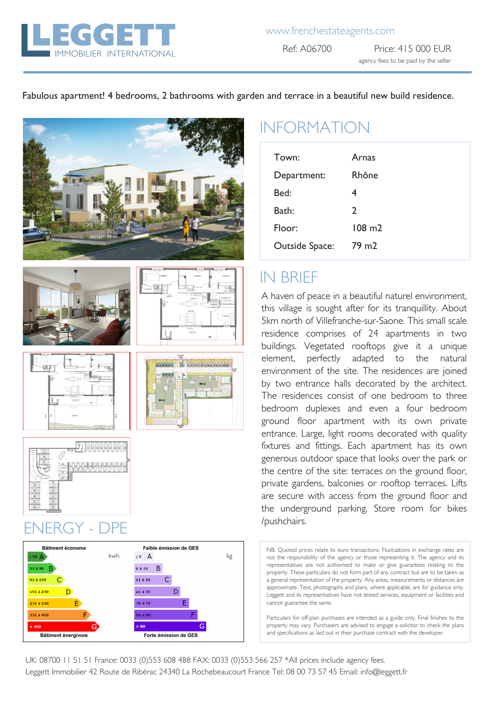

#### Fabulous apartment! 4 bedrooms, 2 bathrooms with garden and terrace in a beautiful new build residence.









### /pushchairs. ENERGY - DPE



# INFORMATION

| Town:          | Arnas             |
|----------------|-------------------|
|                |                   |
| Department:    | Rhône             |
| Bed:           | 4                 |
| Bath:          | 2                 |
| Floor:         | $108 \text{ m}$   |
| Outside Space: | 79 m <sub>2</sub> |

### IN BRIEF

A haven of peace in a beautiful naturel environment, this village is sought after for its tranquillity. About 5km north of Villefranche-sur-Saone. This small scale residence comprises of 24 apartments in two buildings. Vegetated rooftops give it a unique element, perfectly adapted to the natural environment of the site. The residences are joined by two entrance halls decorated by the architect. The residences consist of one bedroom to three bedroom duplexes and even a four bedroom ground floor apartment with its own private entrance. Large, light rooms decorated with quality fixtures and fittings. Each apartment has its own generous outdoor space that looks over the park or the centre of the site: terraces on the ground floor, private gardens, balconies or rooftop terraces. Lifts are secure with access from the ground floor and the underground parking. Store room for bikes

NB. Quoted prices relate to euro transactions. Fluctuations in exchange rates are not the responsibility of the agency or those representing it. The agency and its representatives are not authorised to make or give guarantees relating to the property. These particulars do not form part of any contract but are to be taken as a general representation of the property. Any areas, measurements or distances are approximate. Text, photographs and plans, where applicable, are for guidance only. Leggett and its representatives have not tested services, equipment or facilities and cannot guarantee the same.

Particulars for off-plan purchases are intended as a guide only. Final finishes to the property may vary. Purchasers are advised to engage a solicitor to check the plans and specifications as laid out in their purchase contract with the developer.

UK: 08700 11 51 51 France: 0033 (0)553 608 488 FAX: 0033 (0)553 566 257 \*All prices include agency fees. Leggett Immobilier 42 Route de Ribérac 24340 La Rochebeaucourt France Tel: 08 00 73 57 45 Email: info@leggett.fr